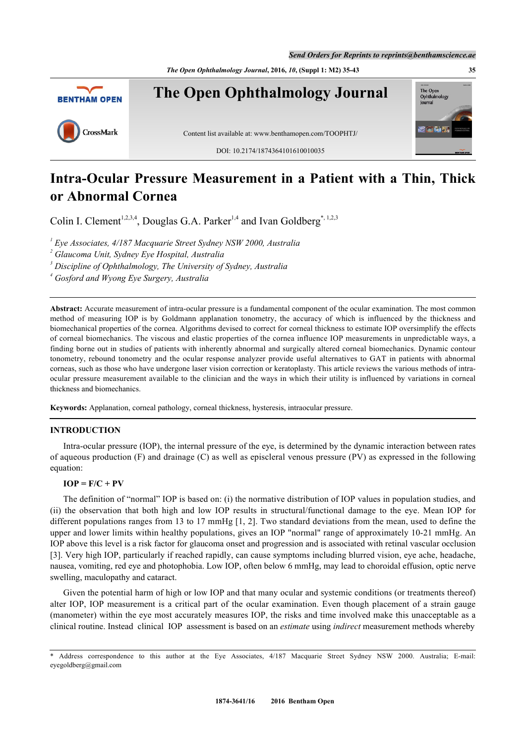*Send Orders for Reprints to reprints@benthamscience.ae*



# **Intra-Ocular Pressure Measurement in a Patient with a Thin, Thick or Abnormal Cornea**

Colin I. Clement<sup>[1](#page-0-0),[2](#page-0-1),[3](#page-0-2),[4](#page-0-3)</sup>, Douglas G.A. Parker<sup>1,4</sup> and Ivan Goldberg<sup>[\\*](#page-0-4), [1,](#page-0-0)[2,](#page-0-1)3</sup>

<span id="page-0-0"></span>*1 Eye Associates, 4/187 Macquarie Street Sydney NSW 2000, Australia*

<span id="page-0-2"></span>*3 Discipline of Ophthalmology, The University of Sydney, Australia*

<span id="page-0-3"></span>*4 Gosford and Wyong Eye Surgery, Australia*

**Abstract:** Accurate measurement of intra-ocular pressure is a fundamental component of the ocular examination. The most common method of measuring IOP is by Goldmann applanation tonometry, the accuracy of which is influenced by the thickness and biomechanical properties of the cornea. Algorithms devised to correct for corneal thickness to estimate IOP oversimplify the effects of corneal biomechanics. The viscous and elastic properties of the cornea influence IOP measurements in unpredictable ways, a finding borne out in studies of patients with inherently abnormal and surgically altered corneal biomechanics. Dynamic contour tonometry, rebound tonometry and the ocular response analyzer provide useful alternatives to GAT in patients with abnormal corneas, such as those who have undergone laser vision correction or keratoplasty. This article reviews the various methods of intraocular pressure measurement available to the clinician and the ways in which their utility is influenced by variations in corneal thickness and biomechanics.

**Keywords:** Applanation, corneal pathology, corneal thickness, hysteresis, intraocular pressure.

## **INTRODUCTION**

Intra-ocular pressure (IOP), the internal pressure of the eye, is determined by the dynamic interaction between rates of aqueous production (F) and drainage (C) as well as episcleral venous pressure (PV) as expressed in the following equation:

## $IOP = F/C + PV$

The definition of "normal" IOP is based on: (i) the normative distribution of IOP values in population studies, and (ii) the observation that both high and low IOP results in structural/functional damage to the eye. Mean IOP for different populations ranges from [1](#page-5-0)3 to 17 mmHg [1, [2\]](#page-5-1). Two standard deviations from the mean, used to define the upper and lower limits within healthy populations, gives an IOP "normal" range of approximately 10-21 mmHg. An IOP above this level is a risk factor for glaucoma onset and progression and is associated with retinal vascular occlusion [\[3](#page-5-2)]. Very high IOP, particularly if reached rapidly, can cause symptoms including blurred vision, eye ache, headache, nausea, vomiting, red eye and photophobia. Low IOP, often below 6 mmHg, may lead to choroidal effusion, optic nerve swelling, maculopathy and cataract.

Given the potential harm of high or low IOP and that many ocular and systemic conditions (or treatments thereof) alter IOP, IOP measurement is a critical part of the ocular examination. Even though placement of a strain gauge (manometer) within the eye most accurately measures IOP, the risks and time involved make this unacceptable as a clinical routine. Instead clinical IOP assessment is based on an *estimate* using *indirect* measurement methods whereby

<span id="page-0-1"></span>*<sup>2</sup> Glaucoma Unit, Sydney Eye Hospital, Australia*

<span id="page-0-4"></span><sup>\*</sup> Address correspondence to this author at the Eye Associates, 4/187 Macquarie Street Sydney NSW 2000. Australia; E-mail: [eyegoldberg@gmail.com](mailto:eyegoldberg@gmail.com)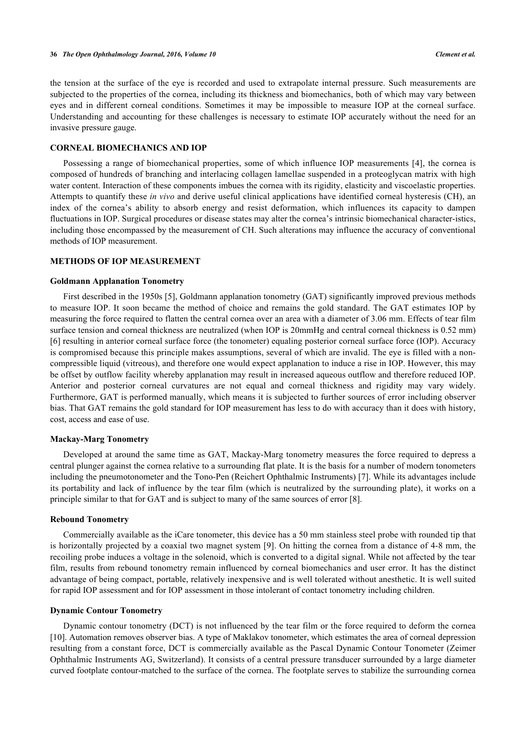the tension at the surface of the eye is recorded and used to extrapolate internal pressure. Such measurements are subjected to the properties of the cornea, including its thickness and biomechanics, both of which may vary between eyes and in different corneal conditions. Sometimes it may be impossible to measure IOP at the corneal surface. Understanding and accounting for these challenges is necessary to estimate IOP accurately without the need for an invasive pressure gauge.

### **CORNEAL BIOMECHANICS AND IOP**

Possessing a range of biomechanical properties, some of which influence IOP measurements [[4](#page-5-3)], the cornea is composed of hundreds of branching and interlacing collagen lamellae suspended in a proteoglycan matrix with high water content. Interaction of these components imbues the cornea with its rigidity, elasticity and viscoelastic properties. Attempts to quantify these *in vivo* and derive useful clinical applications have identified corneal hysteresis (CH), an index of the cornea's ability to absorb energy and resist deformation, which influences its capacity to dampen fluctuations in IOP. Surgical procedures or disease states may alter the cornea's intrinsic biomechanical character-istics, including those encompassed by the measurement of CH. Such alterations may influence the accuracy of conventional methods of IOP measurement.

# **METHODS OF IOP MEASUREMENT**

#### **Goldmann Applanation Tonometry**

First described in the 1950s [[5\]](#page-5-4), Goldmann applanation tonometry (GAT) significantly improved previous methods to measure IOP. It soon became the method of choice and remains the gold standard. The GAT estimates IOP by measuring the force required to flatten the central cornea over an area with a diameter of 3.06 mm. Effects of tear film surface tension and corneal thickness are neutralized (when IOP is 20mmHg and central corneal thickness is 0.52 mm) [\[6](#page-5-5)] resulting in anterior corneal surface force (the tonometer) equaling posterior corneal surface force (IOP). Accuracy is compromised because this principle makes assumptions, several of which are invalid. The eye is filled with a noncompressible liquid (vitreous), and therefore one would expect applanation to induce a rise in IOP. However, this may be offset by outflow facility whereby applanation may result in increased aqueous outflow and therefore reduced IOP. Anterior and posterior corneal curvatures are not equal and corneal thickness and rigidity may vary widely. Furthermore, GAT is performed manually, which means it is subjected to further sources of error including observer bias. That GAT remains the gold standard for IOP measurement has less to do with accuracy than it does with history, cost, access and ease of use.

### **Mackay-Marg Tonometry**

Developed at around the same time as GAT, Mackay-Marg tonometry measures the force required to depress a central plunger against the cornea relative to a surrounding flat plate. It is the basis for a number of modern tonometers including the pneumotonometer and the Tono-Pen (Reichert Ophthalmic Instruments) [[7\]](#page-5-6). While its advantages include its portability and lack of influence by the tear film (which is neutralized by the surrounding plate), it works on a principle similar to that for GAT and is subject to many of the same sources of error [\[8](#page-6-0)].

#### **Rebound Tonometry**

Commercially available as the iCare tonometer, this device has a 50 mm stainless steel probe with rounded tip that is horizontally projected by a coaxial two magnet system [[9\]](#page-6-1). On hitting the cornea from a distance of 4-8 mm, the recoiling probe induces a voltage in the solenoid, which is converted to a digital signal. While not affected by the tear film, results from rebound tonometry remain influenced by corneal biomechanics and user error. It has the distinct advantage of being compact, portable, relatively inexpensive and is well tolerated without anesthetic. It is well suited for rapid IOP assessment and for IOP assessment in those intolerant of contact tonometry including children.

#### **Dynamic Contour Tonometry**

Dynamic contour tonometry (DCT) is not influenced by the tear film or the force required to deform the cornea [\[10](#page-6-2)]. Automation removes observer bias. A type of Maklakov tonometer, which estimates the area of corneal depression resulting from a constant force, DCT is commercially available as the Pascal Dynamic Contour Tonometer (Zeimer Ophthalmic Instruments AG, Switzerland). It consists of a central pressure transducer surrounded by a large diameter curved footplate contour-matched to the surface of the cornea. The footplate serves to stabilize the surrounding cornea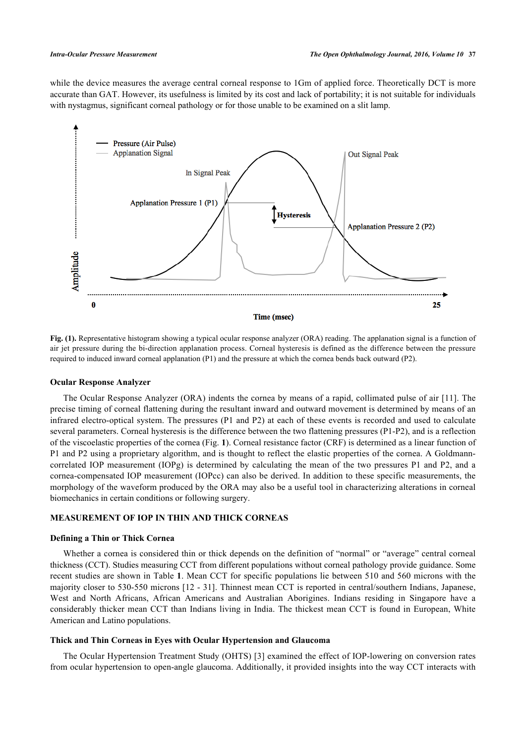while the device measures the average central corneal response to 1Gm of applied force. Theoretically DCT is more accurate than GAT. However, its usefulness is limited by its cost and lack of portability; it is not suitable for individuals with nystagmus, significant corneal pathology or for those unable to be examined on a slit lamp.

<span id="page-2-0"></span>

**Fig. (1).** Representative histogram showing a typical ocular response analyzer (ORA) reading. The applanation signal is a function of air jet pressure during the bi-direction applanation process. Corneal hysteresis is defined as the difference between the pressure required to induced inward corneal applanation (P1) and the pressure at which the cornea bends back outward (P2).

#### **Ocular Response Analyzer**

The Ocular Response Analyzer (ORA) indents the cornea by means of a rapid, collimated pulse of air [\[11\]](#page-6-3). The precise timing of corneal flattening during the resultant inward and outward movement is determined by means of an infrared electro-optical system. The pressures (P1 and P2) at each of these events is recorded and used to calculate several parameters. Corneal hysteresis is the difference between the two flattening pressures (P1-P2), and is a reflection of the viscoelastic properties of the cornea (Fig. **[1](#page-2-0)**). Corneal resistance factor (CRF) is determined as a linear function of P1 and P2 using a proprietary algorithm, and is thought to reflect the elastic properties of the cornea. A Goldmanncorrelated IOP measurement (IOPg) is determined by calculating the mean of the two pressures P1 and P2, and a cornea-compensated IOP measurement (IOPcc) can also be derived. In addition to these specific measurements, the morphology of the waveform produced by the ORA may also be a useful tool in characterizing alterations in corneal biomechanics in certain conditions or following surgery.

# **MEASUREMENT OF IOP IN THIN AND THICK CORNEAS**

#### **Defining a Thin or Thick Cornea**

Whether a cornea is considered thin or thick depends on the definition of "normal" or "average" central corneal thickness (CCT). Studies measuring CCT from different populations without corneal pathology provide guidance. Some recent studies are shown in Table **[1](#page-3-0)**. Mean CCT for specific populations lie between 510 and 560 microns with the majority closer to 530-550 microns [[12](#page-6-4) - [31](#page-7-0)]. Thinnest mean CCT is reported in central/southern Indians, Japanese, West and North Africans, African Americans and Australian Aborigines. Indians residing in Singapore have a considerably thicker mean CCT than Indians living in India. The thickest mean CCT is found in European, White American and Latino populations.

## **Thick and Thin Corneas in Eyes with Ocular Hypertension and Glaucoma**

The Ocular Hypertension Treatment Study (OHTS) [\[3](#page-5-2)] examined the effect of IOP-lowering on conversion rates from ocular hypertension to open-angle glaucoma. Additionally, it provided insights into the way CCT interacts with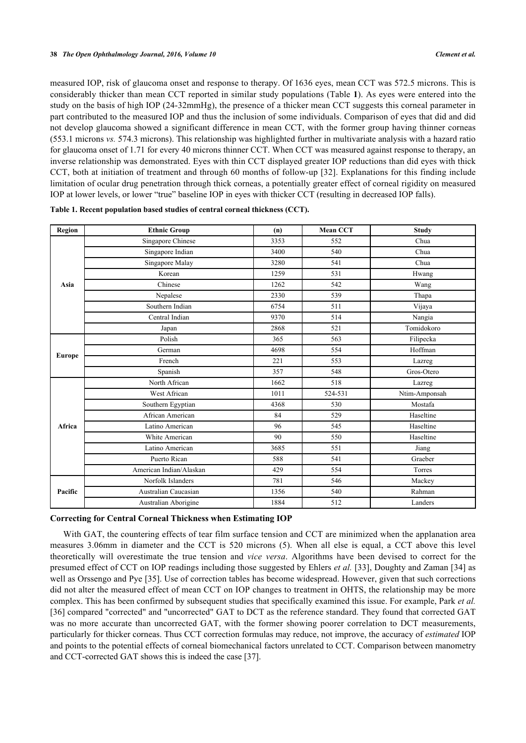measured IOP, risk of glaucoma onset and response to therapy. Of 1636 eyes, mean CCT was 572.5 microns. This is considerably thicker than mean CCT reported in similar study populations (Table **[1](#page-3-0)**). As eyes were entered into the study on the basis of high IOP (24-32mmHg), the presence of a thicker mean CCT suggests this corneal parameter in part contributed to the measured IOP and thus the inclusion of some individuals. Comparison of eyes that did and did not develop glaucoma showed a significant difference in mean CCT, with the former group having thinner corneas (553.1 microns *vs.* 574.3 microns). This relationship was highlighted further in multivariate analysis with a hazard ratio for glaucoma onset of 1.71 for every 40 microns thinner CCT. When CCT was measured against response to therapy, an inverse relationship was demonstrated. Eyes with thin CCT displayed greater IOP reductions than did eyes with thick CCT, both at initiation of treatment and through 60 months of follow-up [\[32\]](#page-7-1). Explanations for this finding include limitation of ocular drug penetration through thick corneas, a potentially greater effect of corneal rigidity on measured IOP at lower levels, or lower "true" baseline IOP in eyes with thicker CCT (resulting in decreased IOP falls).

| <b>Region</b> | <b>Ethnic Group</b>     | (n)  | <b>Mean CCT</b> | <b>Study</b>  |
|---------------|-------------------------|------|-----------------|---------------|
|               | Singapore Chinese       | 3353 | 552             | Chua          |
|               | Singapore Indian        | 3400 | 540             | Chua          |
|               | Singapore Malay         | 3280 | 541             | Chua          |
|               | Korean                  | 1259 | 531             | Hwang         |
| Asia          | Chinese                 | 1262 | 542             | Wang          |
|               | Nepalese                | 2330 | 539             | Thapa         |
|               | Southern Indian         | 6754 | 511             | Vijaya        |
|               | Central Indian          | 9370 | 514             | Nangia        |
|               | Japan                   | 2868 | 521             | Tomidokoro    |
|               | Polish                  | 365  | 563             | Filipecka     |
| <b>Europe</b> | German                  | 4698 | 554             | Hoffman       |
|               | French                  | 221  | 553             | Lazreg        |
|               | Spanish                 | 357  | 548             | Gros-Otero    |
|               | North African           | 1662 | 518             | Lazreg        |
|               | West African            | 1011 | 524-531         | Ntim-Amponsah |
|               | Southern Egyptian       | 4368 | 530             | Mostafa       |
|               | African American        | 84   | 529             | Haseltine     |
| Africa        | Latino American         | 96   | 545             | Haseltine     |
|               | White American          | 90   | 550             | Haseltine     |
|               | Latino American         | 3685 | 551             | Jiang         |
|               | Puerto Rican            | 588  | 541             | Graeber       |
|               | American Indian/Alaskan | 429  | 554             | Torres        |
|               | Norfolk Islanders       | 781  | 546             | Mackey        |
| Pacific       | Australian Caucasian    | 1356 | 540             | Rahman        |
|               | Australian Aborigine    | 1884 | 512             | Landers       |

<span id="page-3-0"></span>

| Table 1. Recent population based studies of central corneal thickness (CCT). |  |
|------------------------------------------------------------------------------|--|
|------------------------------------------------------------------------------|--|

## **Correcting for Central Corneal Thickness when Estimating IOP**

With GAT, the countering effects of tear film surface tension and CCT are minimized when the applanation area measures 3.06mm in diameter and the CCT is 520 microns (5). When all else is equal, a CCT above this level theoretically will overestimate the true tension and *vice versa*. Algorithms have been devised to correct for the presumed effect of CCT on IOP readings including those suggested by Ehlers *et al.* [[33](#page-7-2)], Doughty and Zaman [[34](#page-7-3)] as well as Orssengo and Pye [\[35](#page-7-4)]. Use of correction tables has become widespread. However, given that such corrections did not alter the measured effect of mean CCT on IOP changes to treatment in OHTS, the relationship may be more complex. This has been confirmed by subsequent studies that specifically examined this issue. For example, Park *et al.* [\[36](#page-7-5)] compared "corrected" and "uncorrected" GAT to DCT as the reference standard. They found that corrected GAT was no more accurate than uncorrected GAT, with the former showing poorer correlation to DCT measurements, particularly for thicker corneas. Thus CCT correction formulas may reduce, not improve, the accuracy of *estimated* IOP and points to the potential effects of corneal biomechanical factors unrelated to CCT. Comparison between manometry and CCT-corrected GAT shows this is indeed the case [[37\]](#page-7-6).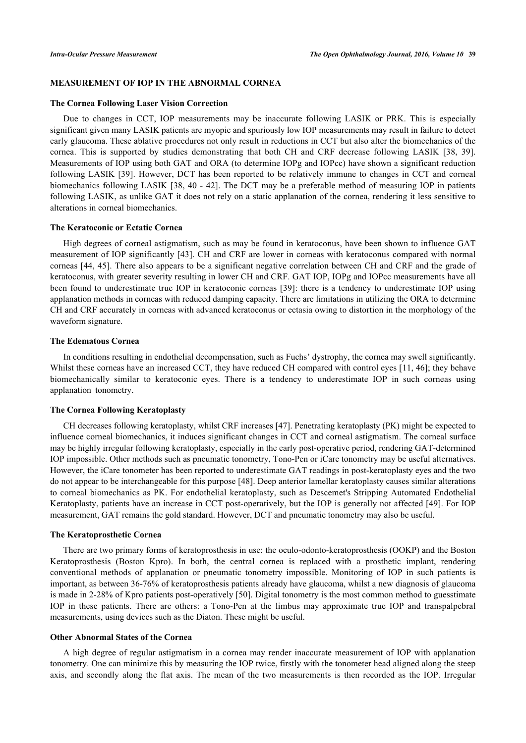## **MEASUREMENT OF IOP IN THE ABNORMAL CORNEA**

#### **The Cornea Following Laser Vision Correction**

Due to changes in CCT, IOP measurements may be inaccurate following LASIK or PRK. This is especially significant given many LASIK patients are myopic and spuriously low IOP measurements may result in failure to detect early glaucoma. These ablative procedures not only result in reductions in CCT but also alter the biomechanics of the cornea. This is supported by studies demonstrating that both CH and CRF decrease following LASIK [\[38](#page-7-7), [39\]](#page-7-8). Measurements of IOP using both GAT and ORA (to determine IOPg and IOPcc) have shown a significant reduction following LASIK [\[39](#page-7-8)]. However, DCT has been reported to be relatively immune to changes in CCT and corneal biomechanics following LASIK [\[38,](#page-7-7) [40](#page-7-9) - [42\]](#page-7-10). The DCT may be a preferable method of measuring IOP in patients following LASIK, as unlike GAT it does not rely on a static applanation of the cornea, rendering it less sensitive to alterations in corneal biomechanics.

# **The Keratoconic or Ectatic Cornea**

High degrees of corneal astigmatism, such as may be found in keratoconus, have been shown to influence GAT measurement of IOP significantly [\[43](#page-7-11)]. CH and CRF are lower in corneas with keratoconus compared with normal corneas [[44](#page-7-12)[, 45\]](#page-7-13). There also appears to be a significant negative correlation between CH and CRF and the grade of keratoconus, with greater severity resulting in lower CH and CRF. GAT IOP, IOPg and IOPcc measurements have all been found to underestimate true IOP in keratoconic corneas [\[39\]](#page-7-8): there is a tendency to underestimate IOP using applanation methods in corneas with reduced damping capacity. There are limitations in utilizing the ORA to determine CH and CRF accurately in corneas with advanced keratoconus or ectasia owing to distortion in the morphology of the waveform signature.

## **The Edematous Cornea**

In conditions resulting in endothelial decompensation, such as Fuchs' dystrophy, the cornea may swell significantly. Whilst these corneas have an increased CCT, they have reduced CH compared with control eyes [\[11,](#page-6-3) [46\]](#page-7-14); they behave biomechanically similar to keratoconic eyes. There is a tendency to underestimate IOP in such corneas using applanation tonometry.

## **The Cornea Following Keratoplasty**

CH decreases following keratoplasty, whilst CRF increases [\[47](#page-8-0)]. Penetrating keratoplasty (PK) might be expected to influence corneal biomechanics, it induces significant changes in CCT and corneal astigmatism. The corneal surface may be highly irregular following keratoplasty, especially in the early post-operative period, rendering GAT-determined IOP impossible. Other methods such as pneumatic tonometry, Tono-Pen or iCare tonometry may be useful alternatives. However, the iCare tonometer has been reported to underestimate GAT readings in post-keratoplasty eyes and the two do not appear to be interchangeable for this purpose [[48](#page-8-1)]. Deep anterior lamellar keratoplasty causes similar alterations to corneal biomechanics as PK. For endothelial keratoplasty, such as Descemet's Stripping Automated Endothelial Keratoplasty, patients have an increase in CCT post-operatively, but the IOP is generally not affected [[49\]](#page-8-2). For IOP measurement, GAT remains the gold standard. However, DCT and pneumatic tonometry may also be useful.

#### **The Keratoprosthetic Cornea**

There are two primary forms of keratoprosthesis in use: the oculo-odonto-keratoprosthesis (OOKP) and the Boston Keratoprosthesis (Boston Kpro). In both, the central cornea is replaced with a prosthetic implant, rendering conventional methods of applanation or pneumatic tonometry impossible. Monitoring of IOP in such patients is important, as between 36-76% of keratoprosthesis patients already have glaucoma, whilst a new diagnosis of glaucoma is made in 2-28% of Kpro patients post-operatively [\[50](#page-8-3)]. Digital tonometry is the most common method to guesstimate IOP in these patients. There are others: a Tono-Pen at the limbus may approximate true IOP and transpalpebral measurements, using devices such as the Diaton. These might be useful.

## **Other Abnormal States of the Cornea**

A high degree of regular astigmatism in a cornea may render inaccurate measurement of IOP with applanation tonometry. One can minimize this by measuring the IOP twice, firstly with the tonometer head aligned along the steep axis, and secondly along the flat axis. The mean of the two measurements is then recorded as the IOP. Irregular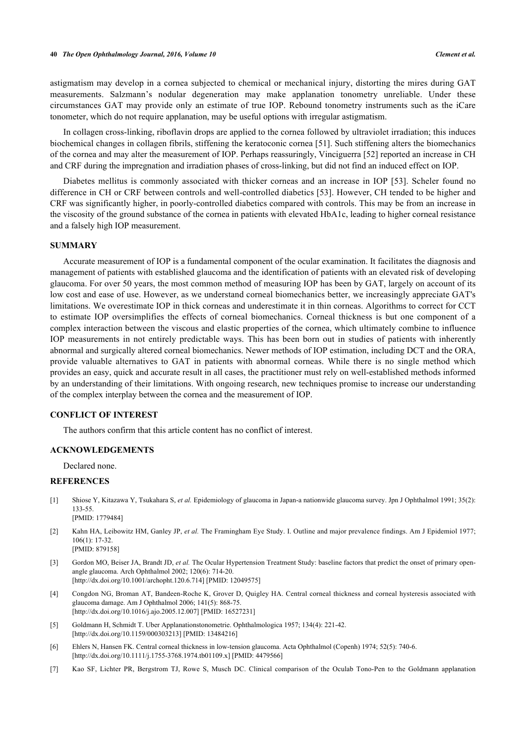astigmatism may develop in a cornea subjected to chemical or mechanical injury, distorting the mires during GAT measurements. Salzmann's nodular degeneration may make applanation tonometry unreliable. Under these circumstances GAT may provide only an estimate of true IOP. Rebound tonometry instruments such as the iCare tonometer, which do not require applanation, may be useful options with irregular astigmatism.

In collagen cross-linking, riboflavin drops are applied to the cornea followed by ultraviolet irradiation; this induces biochemical changes in collagen fibrils, stiffening the keratoconic cornea [\[51](#page-8-4)]. Such stiffening alters the biomechanics of the cornea and may alter the measurement of IOP. Perhaps reassuringly, Vinciguerra [[52\]](#page-8-5) reported an increase in CH and CRF during the impregnation and irradiation phases of cross-linking, but did not find an induced effect on IOP.

Diabetes mellitus is commonly associated with thicker corneas and an increase in IOP [\[53](#page-8-6)]. Scheler found no difference in CH or CRF between controls and well-controlled diabetics [[53](#page-8-6)]. However, CH tended to be higher and CRF was significantly higher, in poorly-controlled diabetics compared with controls. This may be from an increase in the viscosity of the ground substance of the cornea in patients with elevated HbA1c, leading to higher corneal resistance and a falsely high IOP measurement.

## **SUMMARY**

Accurate measurement of IOP is a fundamental component of the ocular examination. It facilitates the diagnosis and management of patients with established glaucoma and the identification of patients with an elevated risk of developing glaucoma. For over 50 years, the most common method of measuring IOP has been by GAT, largely on account of its low cost and ease of use. However, as we understand corneal biomechanics better, we increasingly appreciate GAT's limitations. We overestimate IOP in thick corneas and underestimate it in thin corneas. Algorithms to correct for CCT to estimate IOP oversimplifies the effects of corneal biomechanics. Corneal thickness is but one component of a complex interaction between the viscous and elastic properties of the cornea, which ultimately combine to influence IOP measurements in not entirely predictable ways. This has been born out in studies of patients with inherently abnormal and surgically altered corneal biomechanics. Newer methods of IOP estimation, including DCT and the ORA, provide valuable alternatives to GAT in patients with abnormal corneas. While there is no single method which provides an easy, quick and accurate result in all cases, the practitioner must rely on well-established methods informed by an understanding of their limitations. With ongoing research, new techniques promise to increase our understanding of the complex interplay between the cornea and the measurement of IOP.

## **CONFLICT OF INTEREST**

The authors confirm that this article content has no conflict of interest.

#### **ACKNOWLEDGEMENTS**

Declared none.

# **REFERENCES**

- <span id="page-5-0"></span>[1] Shiose Y, Kitazawa Y, Tsukahara S, *et al.* Epidemiology of glaucoma in Japan-a nationwide glaucoma survey. Jpn J Ophthalmol 1991; 35(2): 133-55. [PMID: [1779484\]](http://www.ncbi.nlm.nih.gov/pubmed/1779484)
- <span id="page-5-1"></span>[2] Kahn HA, Leibowitz HM, Ganley JP, *et al.* The Framingham Eye Study. I. Outline and major prevalence findings. Am J Epidemiol 1977; 106(1): 17-32. [PMID: [879158\]](http://www.ncbi.nlm.nih.gov/pubmed/879158)
- <span id="page-5-2"></span>[3] Gordon MO, Beiser JA, Brandt JD, *et al.* The Ocular Hypertension Treatment Study: baseline factors that predict the onset of primary openangle glaucoma. Arch Ophthalmol 2002; 120(6): 714-20. [\[http://dx.doi.org/10.1001/archopht.120.6.714\]](http://dx.doi.org/10.1001/archopht.120.6.714) [PMID: [12049575](http://www.ncbi.nlm.nih.gov/pubmed/12049575)]
- <span id="page-5-3"></span>[4] Congdon NG, Broman AT, Bandeen-Roche K, Grover D, Quigley HA. Central corneal thickness and corneal hysteresis associated with glaucoma damage. Am J Ophthalmol 2006; 141(5): 868-75. [\[http://dx.doi.org/10.1016/j.ajo.2005.12.007\]](http://dx.doi.org/10.1016/j.ajo.2005.12.007) [PMID: [16527231](http://www.ncbi.nlm.nih.gov/pubmed/16527231)]
- <span id="page-5-4"></span>[5] Goldmann H, Schmidt T. Uber Applanationstonometrie. Ophthalmologica 1957; 134(4): 221-42. [\[http://dx.doi.org/10.1159/000303213\]](http://dx.doi.org/10.1159/000303213) [PMID: [13484216](http://www.ncbi.nlm.nih.gov/pubmed/13484216)]
- <span id="page-5-5"></span>[6] Ehlers N, Hansen FK. Central corneal thickness in low-tension glaucoma. Acta Ophthalmol (Copenh) 1974; 52(5): 740-6. [\[http://dx.doi.org/10.1111/j.1755-3768.1974.tb01109.x\]](http://dx.doi.org/10.1111/j.1755-3768.1974.tb01109.x) [PMID: [4479566](http://www.ncbi.nlm.nih.gov/pubmed/4479566)]
- <span id="page-5-6"></span>[7] Kao SF, Lichter PR, Bergstrom TJ, Rowe S, Musch DC. Clinical comparison of the Oculab Tono-Pen to the Goldmann applanation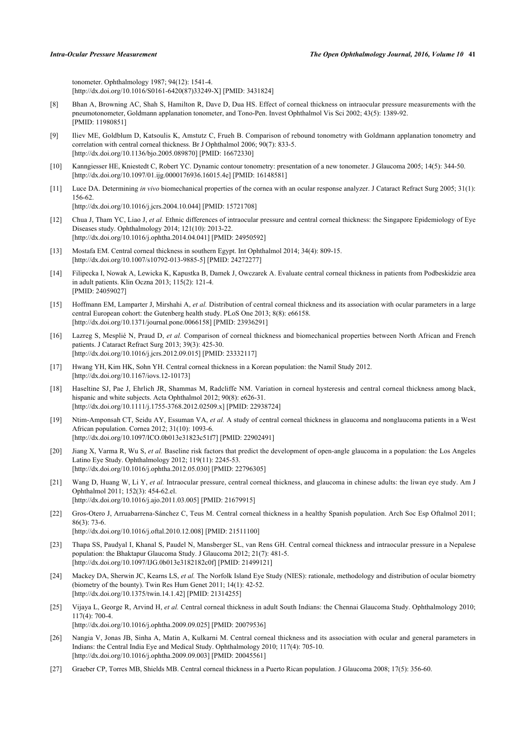tonometer. Ophthalmology 1987; 94(12): 1541-4. [\[http://dx.doi.org/10.1016/S0161-6420\(87\)33249-X\]](http://dx.doi.org/10.1016/S0161-6420(87)33249-X) [PMID: [3431824](http://www.ncbi.nlm.nih.gov/pubmed/3431824)]

- <span id="page-6-0"></span>[8] Bhan A, Browning AC, Shah S, Hamilton R, Dave D, Dua HS. Effect of corneal thickness on intraocular pressure measurements with the pneumotonometer, Goldmann applanation tonometer, and Tono-Pen. Invest Ophthalmol Vis Sci 2002; 43(5): 1389-92. [PMID: [11980851\]](http://www.ncbi.nlm.nih.gov/pubmed/11980851)
- <span id="page-6-1"></span>[9] Iliev ME, Goldblum D, Katsoulis K, Amstutz C, Frueh B. Comparison of rebound tonometry with Goldmann applanation tonometry and correlation with central corneal thickness. Br J Ophthalmol 2006; 90(7): 833-5. [\[http://dx.doi.org/10.1136/bjo.2005.089870](http://dx.doi.org/10.1136/bjo.2005.089870)] [PMID: [16672330\]](http://www.ncbi.nlm.nih.gov/pubmed/16672330)
- <span id="page-6-2"></span>[10] Kanngiesser HE, Kniestedt C, Robert YC. Dynamic contour tonometry: presentation of a new tonometer. J Glaucoma 2005; 14(5): 344-50. [\[http://dx.doi.org/10.1097/01.ijg.0000176936.16015.4e\]](http://dx.doi.org/10.1097/01.ijg.0000176936.16015.4e) [PMID: [16148581](http://www.ncbi.nlm.nih.gov/pubmed/16148581)]
- <span id="page-6-3"></span>[11] Luce DA. Determining *in vivo* biomechanical properties of the cornea with an ocular response analyzer. J Cataract Refract Surg 2005; 31(1): 156-62. [\[http://dx.doi.org/10.1016/j.jcrs.2004.10.044\]](http://dx.doi.org/10.1016/j.jcrs.2004.10.044) [PMID: [15721708](http://www.ncbi.nlm.nih.gov/pubmed/15721708)]
- <span id="page-6-4"></span>[12] Chua J, Tham YC, Liao J, *et al.* Ethnic differences of intraocular pressure and central corneal thickness: the Singapore Epidemiology of Eye Diseases study. Ophthalmology 2014; 121(10): 2013-22. [\[http://dx.doi.org/10.1016/j.ophtha.2014.04.041\]](http://dx.doi.org/10.1016/j.ophtha.2014.04.041) [PMID: [24950592](http://www.ncbi.nlm.nih.gov/pubmed/24950592)]
- [13] Mostafa EM. Central corneal thickness in southern Egypt. Int Ophthalmol 2014; 34(4): 809-15. [\[http://dx.doi.org/10.1007/s10792-013-9885-5\]](http://dx.doi.org/10.1007/s10792-013-9885-5) [PMID: [24272277](http://www.ncbi.nlm.nih.gov/pubmed/24272277)]
- [14] Filipecka I, Nowak A, Lewicka K, Kapustka B, Damek J, Owczarek A. Evaluate central corneal thickness in patients from Podbeskidzie area in adult patients. Klin Oczna 2013; 115(2): 121-4. [PMID: [24059027\]](http://www.ncbi.nlm.nih.gov/pubmed/24059027)
- [15] Hoffmann EM, Lamparter J, Mirshahi A, *et al.* Distribution of central corneal thickness and its association with ocular parameters in a large central European cohort: the Gutenberg health study. PLoS One 2013; 8(8): e66158. [\[http://dx.doi.org/10.1371/journal.pone.0066158](http://dx.doi.org/10.1371/journal.pone.0066158)] [PMID: [23936291\]](http://www.ncbi.nlm.nih.gov/pubmed/23936291)
- [16] Lazreg S, Mesplié N, Praud D, *et al.* Comparison of corneal thickness and biomechanical properties between North African and French patients. J Cataract Refract Surg 2013; 39(3): 425-30. [\[http://dx.doi.org/10.1016/j.jcrs.2012.09.015\]](http://dx.doi.org/10.1016/j.jcrs.2012.09.015) [PMID: [23332117](http://www.ncbi.nlm.nih.gov/pubmed/23332117)]
- [17] Hwang YH, Kim HK, Sohn YH. Central corneal thickness in a Korean population: the Namil Study 2012. [\[http://dx.doi.org/10.1167/iovs.12-10173\]](http://dx.doi.org/10.1167/iovs.12-10173)
- [18] Haseltine SJ, Pae J, Ehrlich JR, Shammas M, Radcliffe NM. Variation in corneal hysteresis and central corneal thickness among black, hispanic and white subjects. Acta Ophthalmol 2012; 90(8): e626-31. [\[http://dx.doi.org/10.1111/j.1755-3768.2012.02509.x\]](http://dx.doi.org/10.1111/j.1755-3768.2012.02509.x) [PMID: [22938724](http://www.ncbi.nlm.nih.gov/pubmed/22938724)]
- [19] Ntim-Amponsah CT, Seidu AY, Essuman VA, *et al.* A study of central corneal thickness in glaucoma and nonglaucoma patients in a West African population. Cornea 2012; 31(10): 1093-6. [\[http://dx.doi.org/10.1097/ICO.0b013e31823c51f7](http://dx.doi.org/10.1097/ICO.0b013e31823c51f7)] [PMID: [22902491\]](http://www.ncbi.nlm.nih.gov/pubmed/22902491)
- [20] Jiang X, Varma R, Wu S, *et al.* Baseline risk factors that predict the development of open-angle glaucoma in a population: the Los Angeles Latino Eye Study. Ophthalmology 2012; 119(11): 2245-53. [\[http://dx.doi.org/10.1016/j.ophtha.2012.05.030\]](http://dx.doi.org/10.1016/j.ophtha.2012.05.030) [PMID: [22796305](http://www.ncbi.nlm.nih.gov/pubmed/22796305)]
- [21] Wang D, Huang W, Li Y, et al. Intraocular pressure, central corneal thickness, and glaucoma in chinese adults: the liwan eye study. Am J Ophthalmol 2011; 152(3): 454-62.el. [\[http://dx.doi.org/10.1016/j.ajo.2011.03.005\]](http://dx.doi.org/10.1016/j.ajo.2011.03.005) [PMID: [21679915](http://www.ncbi.nlm.nih.gov/pubmed/21679915)]
- [22] Gros-Otero J, Arruabarrena-Sánchez C, Teus M. Central corneal thickness in a healthy Spanish population. Arch Soc Esp Oftalmol 2011; 86(3): 73-6. [\[http://dx.doi.org/10.1016/j.oftal.2010.12.008\]](http://dx.doi.org/10.1016/j.oftal.2010.12.008) [PMID: [21511100](http://www.ncbi.nlm.nih.gov/pubmed/21511100)]
	-
- [23] Thapa SS, Paudyal I, Khanal S, Paudel N, Mansberger SL, van Rens GH. Central corneal thickness and intraocular pressure in a Nepalese population: the Bhaktapur Glaucoma Study. J Glaucoma 2012; 21(7): 481-5. [\[http://dx.doi.org/10.1097/IJG.0b013e3182182c0f](http://dx.doi.org/10.1097/IJG.0b013e3182182c0f)] [PMID: [21499121\]](http://www.ncbi.nlm.nih.gov/pubmed/21499121)
- [24] Mackey DA, Sherwin JC, Kearns LS, et al. The Norfolk Island Eye Study (NIES): rationale, methodology and distribution of ocular biometry (biometry of the bounty). Twin Res Hum Genet 2011; 14(1): 42-52. [\[http://dx.doi.org/10.1375/twin.14.1.42](http://dx.doi.org/10.1375/twin.14.1.42)] [PMID: [21314255\]](http://www.ncbi.nlm.nih.gov/pubmed/21314255)
- [25] Vijaya L, George R, Arvind H, *et al.* Central corneal thickness in adult South Indians: the Chennai Glaucoma Study. Ophthalmology 2010;  $117(4)$ : 700-4
	- [\[http://dx.doi.org/10.1016/j.ophtha.2009.09.025\]](http://dx.doi.org/10.1016/j.ophtha.2009.09.025) [PMID: [20079536](http://www.ncbi.nlm.nih.gov/pubmed/20079536)]
- [26] Nangia V, Jonas JB, Sinha A, Matin A, Kulkarni M. Central corneal thickness and its association with ocular and general parameters in Indians: the Central India Eye and Medical Study. Ophthalmology 2010; 117(4): 705-10. [\[http://dx.doi.org/10.1016/j.ophtha.2009.09.003\]](http://dx.doi.org/10.1016/j.ophtha.2009.09.003) [PMID: [20045561](http://www.ncbi.nlm.nih.gov/pubmed/20045561)]
- [27] Graeber CP, Torres MB, Shields MB. Central corneal thickness in a Puerto Rican population. J Glaucoma 2008; 17(5): 356-60.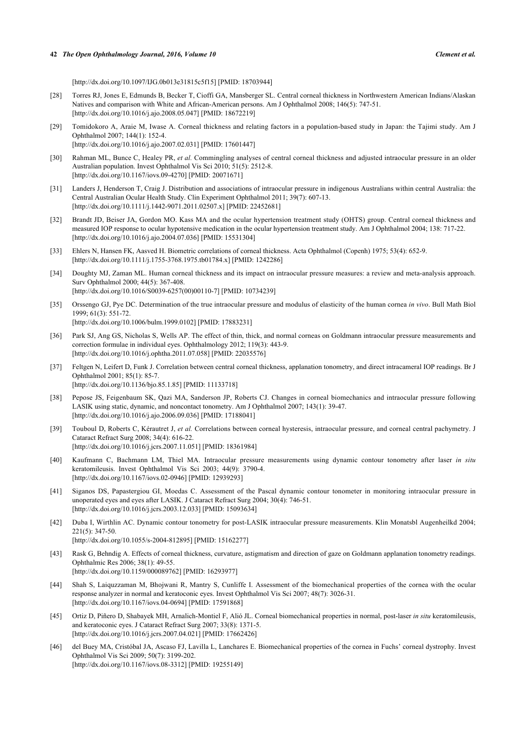[\[http://dx.doi.org/10.1097/IJG.0b013e31815c5f15](http://dx.doi.org/10.1097/IJG.0b013e31815c5f15)] [PMID: [18703944\]](http://www.ncbi.nlm.nih.gov/pubmed/18703944)

- [28] Torres RJ, Jones E, Edmunds B, Becker T, Cioffi GA, Mansberger SL. Central corneal thickness in Northwestern American Indians/Alaskan Natives and comparison with White and African-American persons. Am J Ophthalmol 2008; 146(5): 747-51. [\[http://dx.doi.org/10.1016/j.ajo.2008.05.047\]](http://dx.doi.org/10.1016/j.ajo.2008.05.047) [PMID: [18672219](http://www.ncbi.nlm.nih.gov/pubmed/18672219)]
- [29] Tomidokoro A, Araie M, Iwase A. Corneal thickness and relating factors in a population-based study in Japan: the Tajimi study. Am J Ophthalmol 2007; 144(1): 152-4. [\[http://dx.doi.org/10.1016/j.ajo.2007.02.031\]](http://dx.doi.org/10.1016/j.ajo.2007.02.031) [PMID: [17601447](http://www.ncbi.nlm.nih.gov/pubmed/17601447)]
- [30] Rahman ML, Bunce C, Healey PR, *et al.* Commingling analyses of central corneal thickness and adjusted intraocular pressure in an older Australian population. Invest Ophthalmol Vis Sci 2010; 51(5): 2512-8. [\[http://dx.doi.org/10.1167/iovs.09-4270\]](http://dx.doi.org/10.1167/iovs.09-4270) [PMID: [20071671](http://www.ncbi.nlm.nih.gov/pubmed/20071671)]
- <span id="page-7-0"></span>[31] Landers J, Henderson T, Craig J. Distribution and associations of intraocular pressure in indigenous Australians within central Australia: the Central Australian Ocular Health Study. Clin Experiment Ophthalmol 2011; 39(7): 607-13. [\[http://dx.doi.org/10.1111/j.1442-9071.2011.02507.x\]](http://dx.doi.org/10.1111/j.1442-9071.2011.02507.x) [PMID: [22452681](http://www.ncbi.nlm.nih.gov/pubmed/22452681)]
- <span id="page-7-1"></span>[32] Brandt JD, Beiser JA, Gordon MO. Kass MA and the ocular hypertension treatment study (OHTS) group. Central corneal thickness and measured IOP response to ocular hypotensive medication in the ocular hypertension treatment study. Am J Ophthalmol 2004; 138: 717-22. [\[http://dx.doi.org/10.1016/j.ajo.2004.07.036\]](http://dx.doi.org/10.1016/j.ajo.2004.07.036) [PMID: [15531304](http://www.ncbi.nlm.nih.gov/pubmed/15531304)]
- <span id="page-7-2"></span>[33] Ehlers N, Hansen FK, Aasved H. Biometric correlations of corneal thickness. Acta Ophthalmol (Copenh) 1975; 53(4): 652-9. [\[http://dx.doi.org/10.1111/j.1755-3768.1975.tb01784.x\]](http://dx.doi.org/10.1111/j.1755-3768.1975.tb01784.x) [PMID: [1242286](http://www.ncbi.nlm.nih.gov/pubmed/1242286)]
- <span id="page-7-3"></span>[34] Doughty MJ, Zaman ML. Human corneal thickness and its impact on intraocular pressure measures: a review and meta-analysis approach. Surv Ophthalmol 2000; 44(5): 367-408. [\[http://dx.doi.org/10.1016/S0039-6257\(00\)00110-7\]](http://dx.doi.org/10.1016/S0039-6257(00)00110-7) [PMID: [10734239](http://www.ncbi.nlm.nih.gov/pubmed/10734239)]
- <span id="page-7-4"></span>[35] Orssengo GJ, Pye DC. Determination of the true intraocular pressure and modulus of elasticity of the human cornea *in vivo*. Bull Math Biol 1999; 61(3): 551-72. [\[http://dx.doi.org/10.1006/bulm.1999.0102](http://dx.doi.org/10.1006/bulm.1999.0102)] [PMID: [17883231\]](http://www.ncbi.nlm.nih.gov/pubmed/17883231)
- <span id="page-7-5"></span>[36] Park SJ, Ang GS, Nicholas S, Wells AP. The effect of thin, thick, and normal corneas on Goldmann intraocular pressure measurements and correction formulae in individual eyes. Ophthalmology 2012; 119(3): 443-9. [\[http://dx.doi.org/10.1016/j.ophtha.2011.07.058\]](http://dx.doi.org/10.1016/j.ophtha.2011.07.058) [PMID: [22035576](http://www.ncbi.nlm.nih.gov/pubmed/22035576)]
- <span id="page-7-6"></span>[37] Feltgen N, Leifert D, Funk J. Correlation between central corneal thickness, applanation tonometry, and direct intracameral IOP readings. Br J Ophthalmol 2001; 85(1): 85-7. [\[http://dx.doi.org/10.1136/bjo.85.1.85](http://dx.doi.org/10.1136/bjo.85.1.85)] [PMID: [11133718\]](http://www.ncbi.nlm.nih.gov/pubmed/11133718)
- <span id="page-7-7"></span>[38] Pepose JS, Feigenbaum SK, Qazi MA, Sanderson JP, Roberts CJ. Changes in corneal biomechanics and intraocular pressure following LASIK using static, dynamic, and noncontact tonometry. Am J Ophthalmol 2007; 143(1): 39-47. [\[http://dx.doi.org/10.1016/j.ajo.2006.09.036\]](http://dx.doi.org/10.1016/j.ajo.2006.09.036) [PMID: [17188041](http://www.ncbi.nlm.nih.gov/pubmed/17188041)]
- <span id="page-7-8"></span>[39] Touboul D, Roberts C, Kérautret J, *et al.* Correlations between corneal hysteresis, intraocular pressure, and corneal central pachymetry. J Cataract Refract Surg 2008; 34(4): 616-22. [\[http://dx.doi.org/10.1016/j.jcrs.2007.11.051\]](http://dx.doi.org/10.1016/j.jcrs.2007.11.051) [PMID: [18361984](http://www.ncbi.nlm.nih.gov/pubmed/18361984)]
- <span id="page-7-9"></span>[40] Kaufmann C, Bachmann LM, Thiel MA. Intraocular pressure measurements using dynamic contour tonometry after laser *in situ* keratomileusis. Invest Ophthalmol Vis Sci 2003; 44(9): 3790-4. [\[http://dx.doi.org/10.1167/iovs.02-0946\]](http://dx.doi.org/10.1167/iovs.02-0946) [PMID: [12939293](http://www.ncbi.nlm.nih.gov/pubmed/12939293)]
- [41] Siganos DS, Papastergiou GI, Moedas C. Assessment of the Pascal dynamic contour tonometer in monitoring intraocular pressure in unoperated eyes and eyes after LASIK. J Cataract Refract Surg 2004; 30(4): 746-51. [\[http://dx.doi.org/10.1016/j.jcrs.2003.12.033\]](http://dx.doi.org/10.1016/j.jcrs.2003.12.033) [PMID: [15093634](http://www.ncbi.nlm.nih.gov/pubmed/15093634)]
- <span id="page-7-10"></span>[42] Duba I, Wirthlin AC. Dynamic contour tonometry for post-LASIK intraocular pressure measurements. Klin Monatsbl Augenheilkd 2004; 221(5): 347-50. [\[http://dx.doi.org/10.1055/s-2004-812895](http://dx.doi.org/10.1055/s-2004-812895)] [PMID: [15162277\]](http://www.ncbi.nlm.nih.gov/pubmed/15162277)
- <span id="page-7-11"></span>[43] Rask G, Behndig A. Effects of corneal thickness, curvature, astigmatism and direction of gaze on Goldmann applanation tonometry readings. Ophthalmic Res 2006; 38(1): 49-55. [\[http://dx.doi.org/10.1159/000089762\]](http://dx.doi.org/10.1159/000089762) [PMID: [16293977](http://www.ncbi.nlm.nih.gov/pubmed/16293977)]
- <span id="page-7-12"></span>[44] Shah S, Laiquzzaman M, Bhojwani R, Mantry S, Cunliffe I. Assessment of the biomechanical properties of the cornea with the ocular response analyzer in normal and keratoconic eyes. Invest Ophthalmol Vis Sci 2007; 48(7): 3026-31. [\[http://dx.doi.org/10.1167/iovs.04-0694\]](http://dx.doi.org/10.1167/iovs.04-0694) [PMID: [17591868](http://www.ncbi.nlm.nih.gov/pubmed/17591868)]
- <span id="page-7-13"></span>[45] Ortiz D, Piñero D, Shabayek MH, Arnalich-Montiel F, Alió JL. Corneal biomechanical properties in normal, post-laser *in situ* keratomileusis, and keratoconic eyes. J Cataract Refract Surg 2007; 33(8): 1371-5. [\[http://dx.doi.org/10.1016/j.jcrs.2007.04.021\]](http://dx.doi.org/10.1016/j.jcrs.2007.04.021) [PMID: [17662426](http://www.ncbi.nlm.nih.gov/pubmed/17662426)]
- <span id="page-7-14"></span>[46] del Buey MA, Cristóbal JA, Ascaso FJ, Lavilla L, Lanchares E. Biomechanical properties of the cornea in Fuchs' corneal dystrophy. Invest Ophthalmol Vis Sci 2009; 50(7): 3199-202. [\[http://dx.doi.org/10.1167/iovs.08-3312\]](http://dx.doi.org/10.1167/iovs.08-3312) [PMID: [19255149](http://www.ncbi.nlm.nih.gov/pubmed/19255149)]